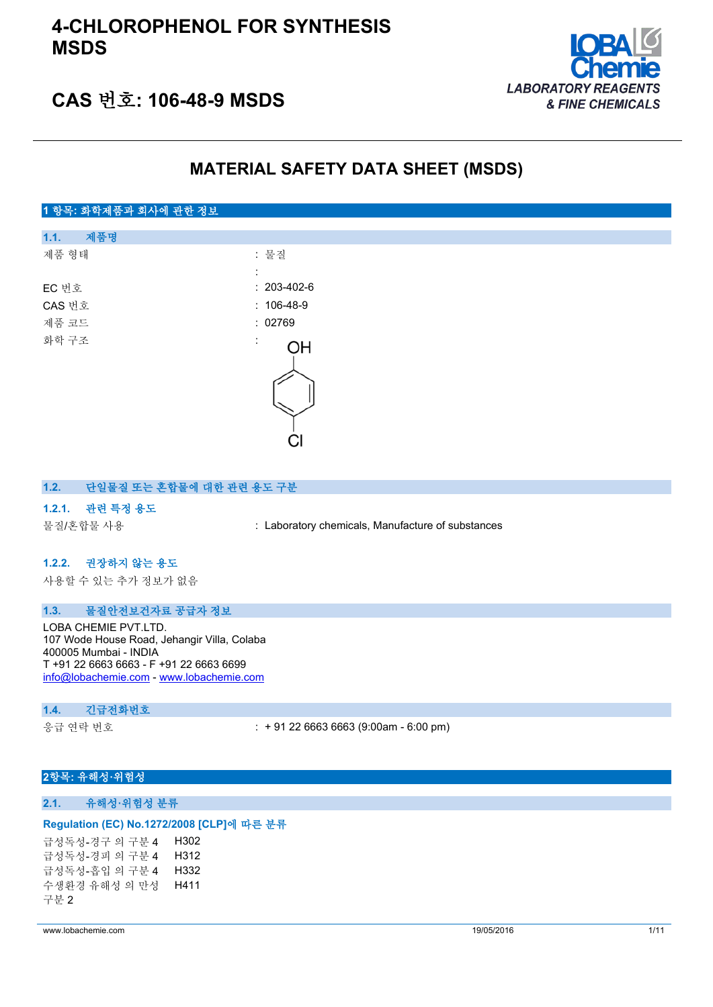

## **CAS 번호: 106-48-9 MSDS**

## **MATERIAL SAFETY DATA SHEET (MSDS)**

# **1 항목: 화학제품과 회사에 관한 정보 1.1. 제품명** 제품 형태 : 기대 : 기대 : 물질 : EC 번호 : 203-402-6 CAS 번호 : 106-48-9 제품 코드 THE TELESTIC TELESTIC ACCEPT AND THE 202769 화학 구조 OH

#### **1.2. 단일물질 또는 혼합물에 대한 관련 용도 구분**

### **1.2.1. 관련 특정 용도**

물질/혼합물 사용 : Laboratory chemicals, Manufacture of substances

## **1.2.2. 권장하지 않는 용도**

사용할 수 있는 추가 정보가 없음

#### **1.3. 물질안전보건자료 공급자 정보**

LOBA CHEMIE PVT.LTD. 107 Wode House Road, Jehangir Villa, Colaba 400005 Mumbai - INDIA T +91 22 6663 6663 - F +91 22 6663 6699 [info@lobachemie.com](mailto:info@lobachemie.com) - <www.lobachemie.com>

#### **1.4. 긴급전화번호**

응급 연락 번호 : + 91 22 6663 6663 (9:00am - 6:00 pm)

## **2항목: 유해성·위험성**

### **2.1. 유해성·위험성 분류**

#### **Regulation (EC) No.1272/2008 [CLP]에 따른 분류**

급성독성-경구 의 구분 4 H302 급성독성-경피 의 구분 4 H312 급성독성-흡입 의 구분 4 H332 수생환경 유해성 의 만성 구분 2 H411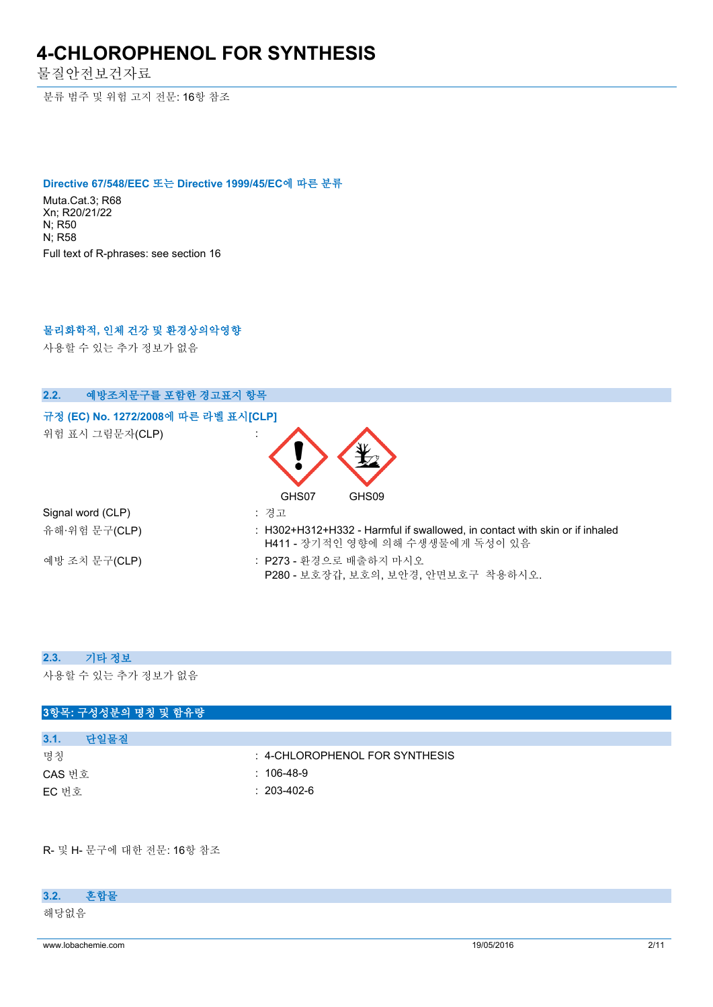물질안전보건자료

분류 범주 및 위험 고지 전문: 16항 참조

#### **Directive 67/548/EEC 또는 Directive 1999/45/EC에 따른 분류**

Muta.Cat.3; R68 Xn; R20/21/22 N; R50 N; R58 Full text of R-phrases: see section 16

## **물리화학적, 인체 건강 및 환경상의악영향**

사용할 수 있는 추가 정보가 없음

## **2.2. 예방조치문구를 포함한 경고표지 항목**

## **규정 (EC) No. 1272/2008에 따른 라벨 표시[CLP] Extra labelling to displayExtra classification(s) to display**

위험 표시 그림문자(CLP) :



| Signal word (CLP) | : 경고                                                                                                            |
|-------------------|-----------------------------------------------------------------------------------------------------------------|
| 유해·위험 문구(CLP)     | : H302+H312+H332 - Harmful if swallowed, in contact with skin or if inhaled<br>H411 - 장기적인 영향에 의해 수생생물에게 독성이 있음 |
| 예방 조치 문구(CLP)     | : P273 - 화경으로 배출하지 마시오<br>P280 - 보호장갑. 보호의. 보안경. 안면보호구 착용하시오.                                                   |

#### **2.3. 기타 정보**

사용할 수 있는 추가 정보가 없음

## **3항목: 구성성분의 명칭 및 함유량**

| 3.1.   | 단일물질 |                                |
|--------|------|--------------------------------|
| 명칭     |      | : 4-CHLOROPHENOL FOR SYNTHESIS |
| CAS 번호 |      | $: 106-48-9$                   |
| EC 번호  |      | $: 203 - 402 - 6$              |

R- 및 H- 문구에 대한 전문: 16항 참조

## **3.2. 혼합물**

해당없음

www.lobachemie.com 2/11 and 2005/2016 2011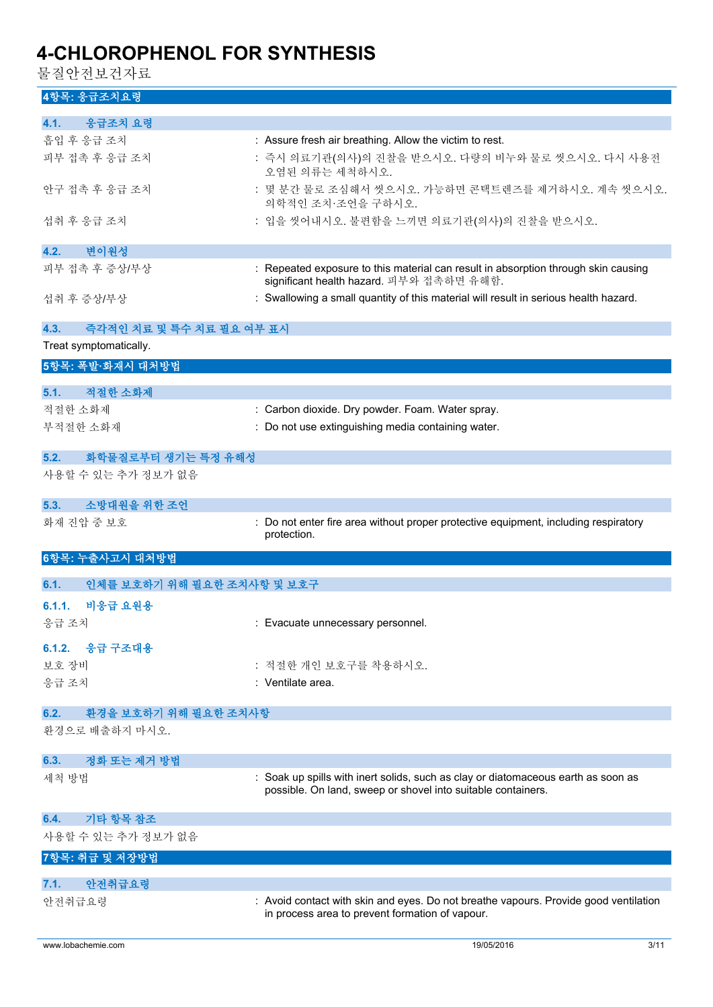물질안전보건자료

## **4항목: 응급조치요령**

| 4.1.<br>응급조치 요령                    |                                                                                                                                                   |
|------------------------------------|---------------------------------------------------------------------------------------------------------------------------------------------------|
| 흡입 후 응급 조치                         | : Assure fresh air breathing. Allow the victim to rest.                                                                                           |
| 피부 접촉 후 응급 조치                      | : 즉시 의료기관(의사)의 진찰을 받으시오. 다량의 비누와 물로 씻으시오. 다시 사용전<br>오염된 의류는 세척하시오.                                                                                |
| 안구 접촉 후 응급 조치                      | : 몇 분간 물로 조심해서 씻으시오. 가능하면 콘택트렌즈를 제거하시오. 계속 씻으시오.<br>의학적인 조치 조언을 구하시오.                                                                             |
| 섭취 후 응급 조치                         | : 입을 씻어내시오. 불편함을 느끼면 의료기관(의사)의 진찰을 받으시오.                                                                                                          |
| 변이원성<br>4.2.                       |                                                                                                                                                   |
| 피부 접촉 후 증상/부상                      | : Repeated exposure to this material can result in absorption through skin causing<br>significant health hazard. 피부와 접촉하면 유해함.                    |
| 섭취 후 증상/부상                         | : Swallowing a small quantity of this material will result in serious health hazard.                                                              |
| 4.3.<br>즉각적인 치료 및 특수 치료 필요 여부 표시   |                                                                                                                                                   |
| Treat symptomatically.             |                                                                                                                                                   |
| 5항목: 폭발·화재시 대처방법                   |                                                                                                                                                   |
|                                    |                                                                                                                                                   |
| 적절한 소화제<br>5.1.                    |                                                                                                                                                   |
| 적절한 소화제                            | : Carbon dioxide. Dry powder. Foam. Water spray.                                                                                                  |
| 부적절한 소화재                           | : Do not use extinguishing media containing water.                                                                                                |
|                                    |                                                                                                                                                   |
| 5.2.<br>화학물질로부터 생기는 특정 유해성         |                                                                                                                                                   |
| 사용할 수 있는 추가 정보가 없음                 |                                                                                                                                                   |
|                                    |                                                                                                                                                   |
| 소방대원을 위한 조언<br>5.3.                |                                                                                                                                                   |
| 화재 진압 중 보호                         | Do not enter fire area without proper protective equipment, including respiratory                                                                 |
|                                    | protection.                                                                                                                                       |
|                                    |                                                                                                                                                   |
| 6항목: 누출사고시 대처방법                    |                                                                                                                                                   |
| 인체를 보호하기 위해 필요한 조치사항 및 보호구<br>6.1. |                                                                                                                                                   |
| 비응급 요원용<br>6.1.1.                  |                                                                                                                                                   |
| 응급 조치                              | : Evacuate unnecessary personnel.                                                                                                                 |
| 6.1.2. 응급 구조대용                     |                                                                                                                                                   |
| 보호 장비                              | : 적절한 개인 보호구를 착용하시오.                                                                                                                              |
|                                    | : Ventilate area.                                                                                                                                 |
| 응급 조치                              |                                                                                                                                                   |
| 6.2.<br>환경을 보호하기 위해 필요한 조치사항       |                                                                                                                                                   |
| 환경으로 배출하지 마시오.                     |                                                                                                                                                   |
| 정화 또는 제거 방법<br>6.3.                |                                                                                                                                                   |
| 세척 방법                              | : Soak up spills with inert solids, such as clay or diatomaceous earth as soon as<br>possible. On land, sweep or shovel into suitable containers. |
|                                    |                                                                                                                                                   |
| 기타 항목 참조<br>6.4.                   |                                                                                                                                                   |
| 사용할 수 있는 추가 정보가 없음                 |                                                                                                                                                   |
| 7항목: 취급 및 저장방법                     |                                                                                                                                                   |
|                                    |                                                                                                                                                   |
| 안전취급요령<br>7.1.<br>안전취급요령           | : Avoid contact with skin and eyes. Do not breathe vapours. Provide good ventilation                                                              |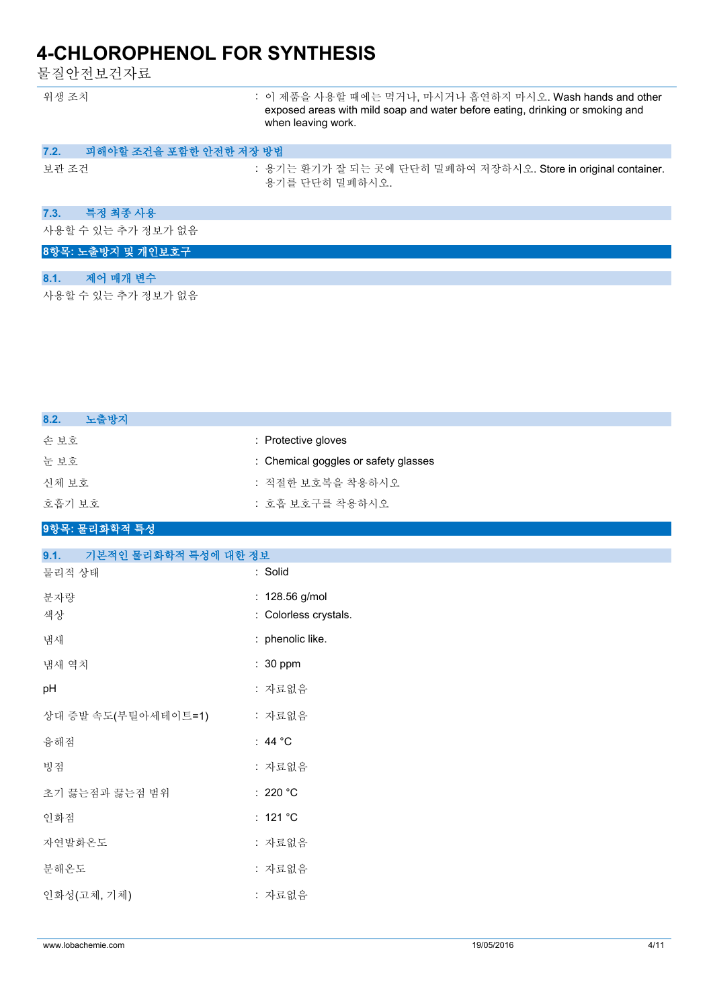물질안전보건자료

| 위생 조치                          | : 이 제품을 사용할 때에는 먹거나, 마시거나 흡연하지 마시오. Wash hands and other<br>exposed areas with mild soap and water before eating, drinking or smoking and<br>when leaving work. |
|--------------------------------|-----------------------------------------------------------------------------------------------------------------------------------------------------------------|
| 피해야할 조건을 포함한 안전한 저장 방법<br>7.2. |                                                                                                                                                                 |
| 보관 조건                          | : 용기는 환기가 잘 되는 곳에 단단히 밀폐하여 저장하시오. Store in original container.<br>용기를 단단히 밀폐하시오.                                                                                |
| 특정 최종 사용<br>7.3.               |                                                                                                                                                                 |
| 사용할 수 있는 추가 정보가 없음             |                                                                                                                                                                 |
| 8항목: 노출방지 및 개인보호구              |                                                                                                                                                                 |
| 제어 매개 변수<br>8.1.               |                                                                                                                                                                 |
| 사용할 수 있는 추가 정보가 없음             |                                                                                                                                                                 |

| 8.2.<br>노출방지 |                                      |
|--------------|--------------------------------------|
| 손보호          | : Protective gloves                  |
| 눈 보호         | : Chemical goggles or safety glasses |
| 신체 보호        | : 적절한 보호복을 착용하시오                     |
| 호흡기 보호       | : 호흡 보호구를 착용하시오                      |
|              |                                      |

#### **9항목: 물리화학적 특성**

| 9.1.<br>기본적인 물리화학적 특성에 대한 정보 |                       |
|------------------------------|-----------------------|
| 물리적 상태                       | : Solid               |
| 분자량                          | : 128.56 g/mol        |
| 색상                           | : Colorless crystals. |
| 냄새                           | : phenolic like.      |
| 냄새 역치                        | $: 30$ ppm            |
| pH                           | : 자료없음                |
| 상대 증발 속도(부틸아세테이트=1)          | : 자료없음                |
| 융해점                          | : 44 $^{\circ}$ C     |
| 빙점                           | : 자료없음                |
| 초기 끓는점과 끓는점 범위               | : 220 $^{\circ}$ C    |
| 인화점                          | : $121 °C$            |
| 자연발화온도                       | : 자료없음                |
| 분해온도                         | : 자료없음                |
| 인화성(고체, 기체)                  | : 자료없음                |
|                              |                       |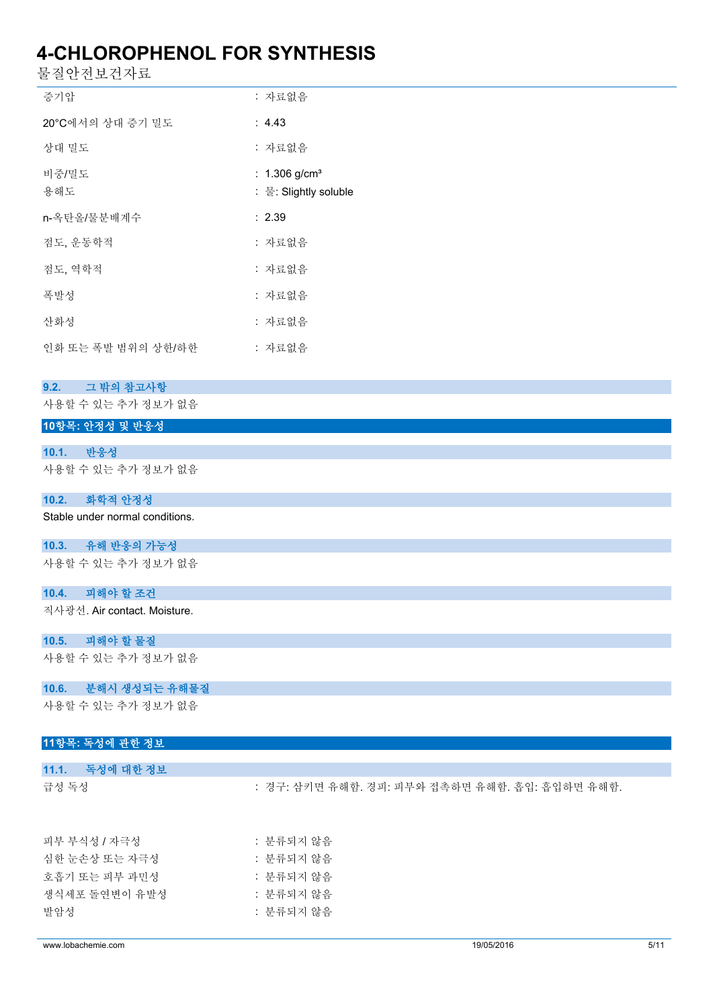물질안전보건자료

| 증기압                | : 자료없음                                               |
|--------------------|------------------------------------------------------|
| 20°C에서의 상대 증기 밀도   | : $4.43$                                             |
| 상대 밀도              | : 자료없음                                               |
| 비중/밀도<br>용해도       | : $1.306$ g/cm <sup>3</sup><br>: 물: Slightly soluble |
| n-옥탄올/물분배계수        | : 2.39                                               |
| 점도, 운동학적           | : 자료없음                                               |
| 젂도. 역학적            | : 자료없음                                               |
| 폭발성                | : 자료없음                                               |
| 사화성                | : 자료없음                                               |
| 인화 또는 폭발 범위의 상하/하한 | : 자료없음                                               |

#### **9.2. 그 밖의 참고사항**

사용할 수 있는 추가 정보가 없음

## **10항목: 안정성 및 반응성**

**10.1. 반응성** 사용할 수 있는 추가 정보가 없음

### **10.2. 화학적 안정성**

Stable under normal conditions.

## **10.3. 유해 반응의 가능성**

사용할 수 있는 추가 정보가 없음

### **10.4. 피해야 할 조건**

직사광선. Air contact. Moisture.

### **10.5. 피해야 할 물질**

사용할 수 있는 추가 정보가 없음

## **10.6. 분해시 생성되는 유해물질**

사용할 수 있는 추가 정보가 없음

## **11항목: 독성에 관한 정보**

| 11.1. 독성에 대한 정보 |                                                |
|-----------------|------------------------------------------------|
| 급성 독성           | : 경구: 삼키면 유해함. 경피: 피부와 접촉하면 유해함. 흡입: 흡입하면 유해함. |
| 피부 부식성 / 자극성    | : 분류되지 않음                                      |
| 심한 눈손상 또는 자극성   | : 부류되지 않음                                      |
| 호흡기 또는 피부 과민성   | : 분류되지 않음                                      |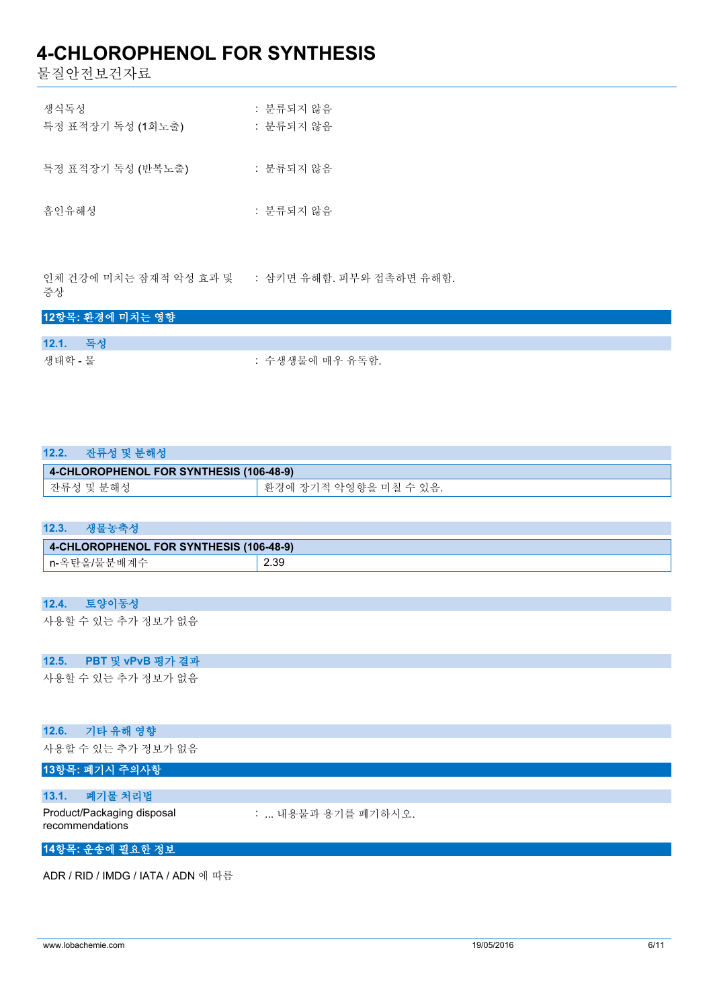물질안전보건자료

| 생식독성<br>특정 표적장기 독성 (1회노출) | : 분류되지 않음<br>: 분류되지 않음 |
|---------------------------|------------------------|
| 특정 표적장기 독성 (반복노출)         | : 분류되지 않음              |
| 흡인유해성                     | : 분류되지 않음              |

인체 건강에 미치는 잠재적 악성 효과 및 증상 : 삼키면 유해함. 피부와 접촉하면 유해함.

## **12항목: 환경에 미치는 영향**

| 12.1. 독성 |                 |
|----------|-----------------|
| 생태학 - 물  | : 수생생물에 매우 유독함. |

| 12.2.<br>잔류성 및 분해성                      |                        |
|-----------------------------------------|------------------------|
| 4-CHLOROPHENOL FOR SYNTHESIS (106-48-9) |                        |
| 잔류성 및 분해성                               | '환경에 장기적 악영향을 미칠 수 있음. |

| 생물농축성<br>12.3 |  |
|---------------|--|
|---------------|--|

| 4-CHLOROPHENOL FOR SYNTHESIS (106-48-9) |      |  |
|-----------------------------------------|------|--|
| n-옥탄올/물분배계수                             | 2.39 |  |

## **12.4. 토양이동성**

사용할 수 있는 추가 정보가 없음

## **12.5. PBT 및 vPvB 평가 결과**

사용할 수 있는 추가 정보가 없음

#### **12.6. 기타 유해 영향**

사용할 수 있는 추가 정보가 없음

## **13항목: 폐기시 주의사항**

## **13.1. 폐기물 처리법**

Product/Packaging disposal : ... 내용물과 용기를 폐기하시오.

recommendations

## **14항목: 운송에 필요한 정보**

ADR / RID / IMDG / IATA / ADN 에 따름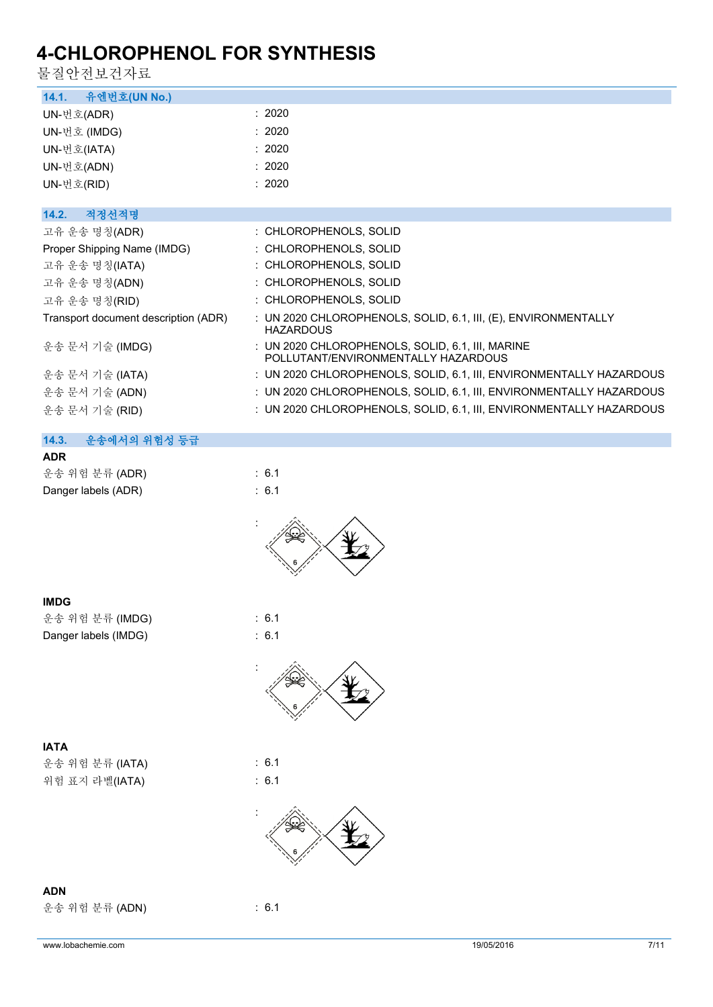.<br>무지아저 H 거기근

| 굴싈간신보긴사뇨                             |                                                                                         |
|--------------------------------------|-----------------------------------------------------------------------------------------|
| 유엔번호(UN No.)<br>14.1.                |                                                                                         |
| UN-번호(ADR)                           | : 2020                                                                                  |
| UN-번호 (IMDG)                         | : 2020                                                                                  |
| UN-번호(IATA)                          | : 2020                                                                                  |
| UN-번호(ADN)                           | : 2020                                                                                  |
| UN-번호(RID)                           | : 2020                                                                                  |
|                                      |                                                                                         |
| 14.2.<br>적정선적명                       |                                                                                         |
| 고유 운송 명칭(ADR)                        | : CHLOROPHENOLS, SOLID                                                                  |
| Proper Shipping Name (IMDG)          | : CHLOROPHENOLS, SOLID                                                                  |
| 고유 운송 명칭(IATA)                       | : CHLOROPHENOLS, SOLID                                                                  |
| 고유 운송 명칭(ADN)                        | : CHLOROPHENOLS, SOLID                                                                  |
| 고유 운송 명칭(RID)                        | : CHLOROPHENOLS, SOLID                                                                  |
| Transport document description (ADR) | : UN 2020 CHLOROPHENOLS, SOLID, 6.1, III, (E), ENVIRONMENTALLY<br><b>HAZARDOUS</b>      |
| 운송 문서 기술 (IMDG)                      | : UN 2020 CHLOROPHENOLS, SOLID, 6.1, III, MARINE<br>POLLUTANT/ENVIRONMENTALLY HAZARDOUS |
| 운송 문서 기술 (IATA)                      | : UN 2020 CHLOROPHENOLS, SOLID, 6.1, III, ENVIRONMENTALLY HAZARDOUS                     |
| 운송 문서 기술 (ADN)                       | : UN 2020 CHLOROPHENOLS, SOLID, 6.1, III, ENVIRONMENTALLY HAZARDOUS                     |
| 운송 문서 기술 (RID)                       | : UN 2020 CHLOROPHENOLS, SOLID, 6.1, III, ENVIRONMENTALLY HAZARDOUS                     |
|                                      |                                                                                         |
| 14.3.<br>운송에서의 위험성 등급                |                                                                                         |
| <b>ADR</b>                           |                                                                                         |
| 운송 위험 분류 (ADR)                       | : 6.1                                                                                   |
| Danger labels (ADR)                  | : 6.1                                                                                   |
|                                      |                                                                                         |
| <b>IMDG</b>                          |                                                                                         |
| 운송 위험 분류 (IMDG)                      | : 6.1                                                                                   |
| Danger labels (IMDG)                 | : 6.1                                                                                   |
|                                      |                                                                                         |
|                                      |                                                                                         |
| <b>IATA</b>                          |                                                                                         |
| 운송 위험 분류 (IATA)                      | : 6.1                                                                                   |
| 위험 표지 라벨(IATA)                       | : 6.1                                                                                   |
|                                      |                                                                                         |
|                                      |                                                                                         |

**ADN** 운송 위험 분류 (ADN) : 6.1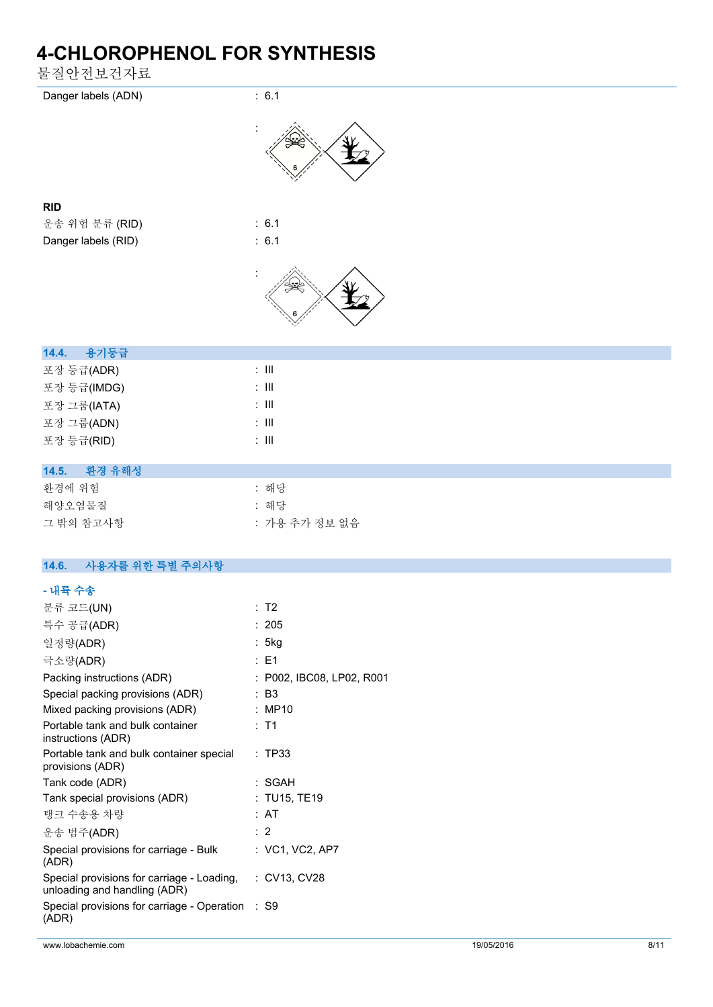물질안전보건자료



| 14.5. | 환경 유해성 |
|-------|--------|

| 화경에 위험    | : 해당          |
|-----------|---------------|
| 해양오염물질    | : 해당          |
| 그 밖의 참고사항 | : 가용 추가 정보 없음 |

## **14.6. 사용자를 위한 특별 주의사항**

포장 등급(RID) : III

### **- 내륙 수송**

| 분류 코드(UN)                                                                               | : T2                      |
|-----------------------------------------------------------------------------------------|---------------------------|
| 특수 공급(ADR)                                                                              | : 205                     |
| 일정량(ADR)                                                                                | : 5kg                     |
| 극소량(ADR)                                                                                | $:$ F1                    |
| Packing instructions (ADR)                                                              | : P002, IBC08, LP02, R001 |
| Special packing provisions (ADR)                                                        | : B3                      |
| Mixed packing provisions (ADR)                                                          | : MP10                    |
| Portable tank and bulk container<br>instructions (ADR)                                  | $:$ T1                    |
| Portable tank and bulk container special<br>provisions (ADR)                            | : TP33                    |
| Tank code (ADR)                                                                         | : SGAH                    |
| Tank special provisions (ADR)                                                           | : TU15, TE19              |
| 탱크 수송용 차량                                                                               | : AT                      |
| 운송 범주(ADR)                                                                              | : 2                       |
| Special provisions for carriage - Bulk<br>(ADR)                                         | : VC1, VC2, AP7           |
| Special provisions for carriage - Loading, : CV13, CV28<br>unloading and handling (ADR) |                           |
| Special provisions for carriage - Operation<br>(ADR)                                    | S9                        |
|                                                                                         |                           |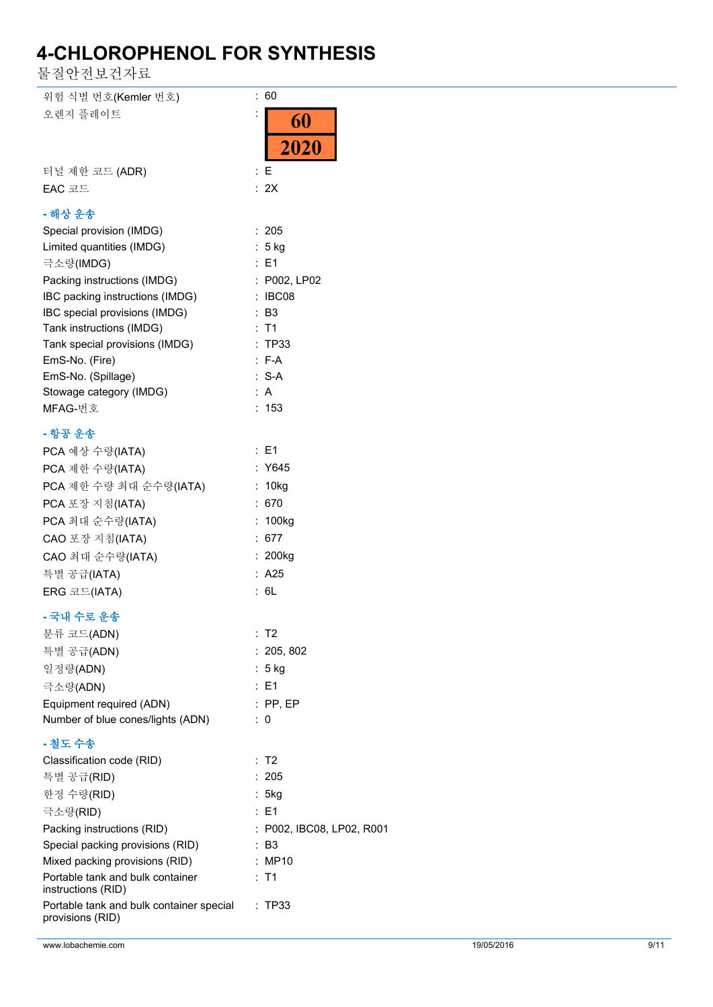물질안전보건자료

| 위험 식별 번호(Kemler 번호)                      | ÷.<br>60                  |
|------------------------------------------|---------------------------|
| 오렌지 플레이트                                 |                           |
|                                          | 60                        |
|                                          | 2020                      |
|                                          |                           |
| 터널 제한 코드 (ADR)                           | $\colon E$                |
| EAC 코드                                   | : 2X                      |
| - 해상 운송                                  |                           |
|                                          | : 205                     |
| Special provision (IMDG)                 |                           |
| Limited quantities (IMDG)                | : 5 kg                    |
| 극소량(IMDG)                                | : E1                      |
| Packing instructions (IMDG)              | : P002, LP02              |
| IBC packing instructions (IMDG)          | : IBC08                   |
| IBC special provisions (IMDG)            | : B3                      |
| Tank instructions (IMDG)                 | $:$ T1                    |
| Tank special provisions (IMDG)           | : TP33                    |
| EmS-No. (Fire)                           | $: F-A$                   |
| EmS-No. (Spillage)                       | $: S-A$                   |
| Stowage category (IMDG)                  | : $A$                     |
| MFAG-번호                                  | : 153                     |
| - 항공 운송                                  |                           |
| PCA 예상 수량(IATA)                          | : E1                      |
| PCA 제한 수량(IATA)                          | : Y645                    |
|                                          |                           |
| PCA 제한 수량 최대 순수량(IATA)                   | : 10kg                    |
| PCA 포장 지침(IATA)                          | : 670                     |
| PCA 최대 순수량(IATA)                         | : 100kg                   |
| CAO 포장 지침(IATA)                          | : 677                     |
| CAO 최대 순수량(IATA)                         | : 200kg                   |
| 특별 공급(IATA)                              | : A25                     |
| ERG 코드(IATA)                             | : 6L                      |
| - 국내 수로 운송                               |                           |
|                                          | : T2                      |
| 분류 코드(ADN)                               |                           |
| 특별 공급(ADN)                               | : 205, 802                |
| 일정량(ADN)                                 | : 5 kg                    |
| 극소량(ADN)                                 | : E1                      |
| Equipment required (ADN)                 | $:$ PP, EP                |
| Number of blue cones/lights (ADN)        | $\therefore$ 0            |
| - 철도 수송                                  |                           |
| Classification code (RID)                | : T2                      |
| 특별 공급(RID)                               | : 205                     |
| 한정 수량(RID)                               | : 5kg                     |
| 극소량(RID)                                 | : E1                      |
| Packing instructions (RID)               | : P002, IBC08, LP02, R001 |
| Special packing provisions (RID)         | $\therefore$ B3           |
| Mixed packing provisions (RID)           | : MP10                    |
| Portable tank and bulk container         | $:$ T1                    |
| instructions (RID)                       |                           |
| Portable tank and bulk container special | : TP33                    |
| provisions (RID)                         |                           |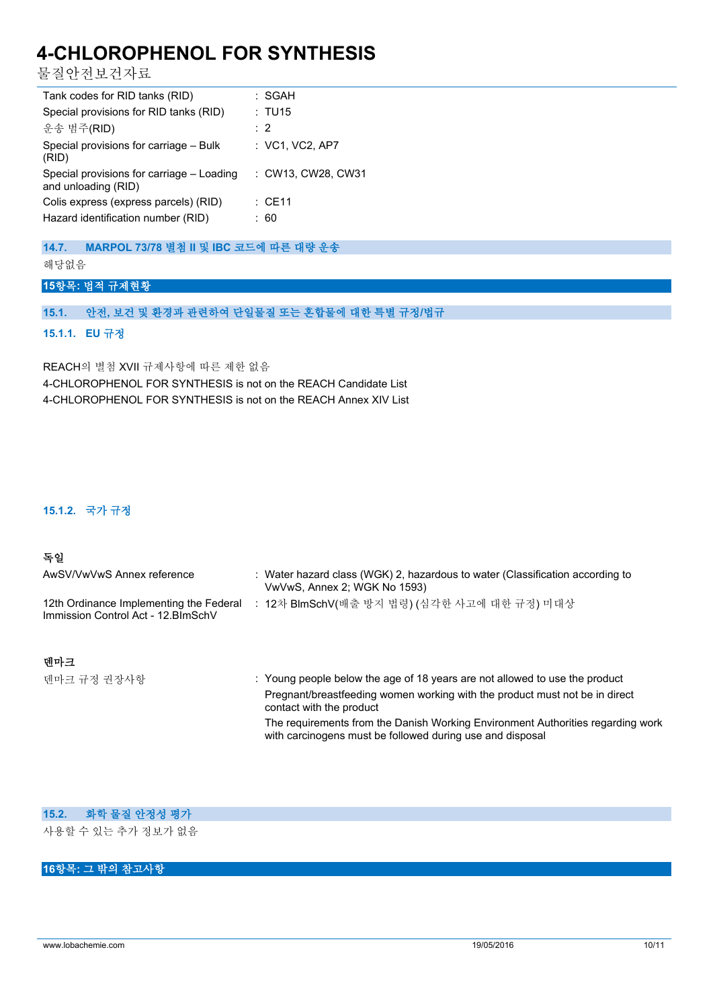물질안전보건자료

| Tank codes for RID tanks (RID)                                              | : SGAH             |
|-----------------------------------------------------------------------------|--------------------|
| Special provisions for RID tanks (RID)                                      | : TU15             |
| 운송 범주(RID)                                                                  | : 2                |
| Special provisions for carriage - Bulk<br>(RID)                             | $:$ VC1, VC2, AP7  |
| Special provisions for carriage - Loading<br>and unloading (RID)            | : CW13, CW28, CW31 |
| Colis express (express parcels) (RID)<br>Hazard identification number (RID) | : CE11<br>: 60     |
|                                                                             |                    |

## **14.7. MARPOL 73/78 별첨 II 및 IBC 코드에 따른 대량 운송**

해당없음

## **15항목: 법적 규제현황**

## **15.1. 안전, 보건 및 환경과 관련하여 단일물질 또는 혼합물에 대한 특별 규정/법규**

### **15.1.1. EU 규정**

REACH의 별첨 XVII 규제사항에 따른 제한 없음 4-CHLOROPHENOL FOR SYNTHESIS is not on the REACH Candidate List 4-CHLOROPHENOL FOR SYNTHESIS is not on the REACH Annex XIV List

## **15.1.2. 국가 규정**

### **독일**

| AwSV/VwVwS Annex reference                                                     | : Water hazard class (WGK) 2, hazardous to water (Classification according to<br>VwVwS, Annex 2; WGK No 1593) |
|--------------------------------------------------------------------------------|---------------------------------------------------------------------------------------------------------------|
| 12th Ordinance Implementing the Federal<br>Immission Control Act - 12. BlmSchV | : 12차 BlmSchV(배출 방지 법령) (심각한 사고에 대한 규정) 미대상                                                                   |
|                                                                                |                                                                                                               |

**덴마크**

| 덴마크 규정 권장사항 | : Young people below the age of 18 years are not allowed to use the product                                                                  |
|-------------|----------------------------------------------------------------------------------------------------------------------------------------------|
|             | Pregnant/breastfeeding women working with the product must not be in direct<br>contact with the product                                      |
|             | The requirements from the Danish Working Environment Authorities regarding work<br>with carcinogens must be followed during use and disposal |

### **15.2. 화학 물질 안정성 평가**

사용할 수 있는 추가 정보가 없음

## **16항목: 그 밖의 참고사항**